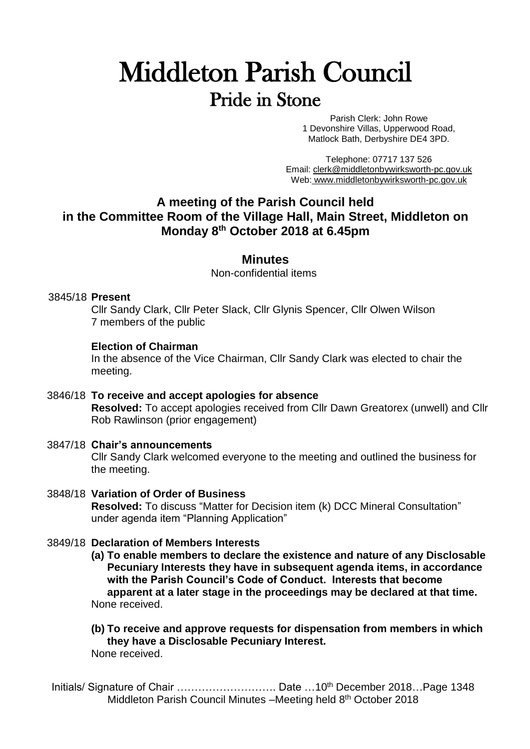# Middleton Parish Council Pride in Stone

Parish Clerk: John Rowe 1 Devonshire Villas, Upperwood Road, Matlock Bath, Derbyshire DE4 3PD.

Telephone: 07717 137 526 Email: [clerk@middletonbywirksworth-pc.gov.uk](mailto:clerk@middletonbywirksworth-pc.gov.uk) Web: [www.middletonbywirksworth-pc.gov.uk](http://www.middletonbywirksworth-pc.gov.uk/)

# **A meeting of the Parish Council held in the Committee Room of the Village Hall, Main Street, Middleton on Monday 8 th October 2018 at 6.45pm**

# **Minutes**

Non-confidential items

# 3845/18 **Present**

Cllr Sandy Clark, Cllr Peter Slack, Cllr Glynis Spencer, Cllr Olwen Wilson 7 members of the public

# **Election of Chairman**

In the absence of the Vice Chairman, Cllr Sandy Clark was elected to chair the meeting.

- 3846/18 **To receive and accept apologies for absence Resolved:** To accept apologies received from Cllr Dawn Greatorex (unwell) and Cllr Rob Rawlinson (prior engagement)
- 3847/18 **Chair's announcements** Cllr Sandy Clark welcomed everyone to the meeting and outlined the business for the meeting.
- 3848/18 **Variation of Order of Business Resolved:** To discuss "Matter for Decision item (k) DCC Mineral Consultation" under agenda item "Planning Application"

# 3849/18 **Declaration of Members Interests**

**(a) To enable members to declare the existence and nature of any Disclosable Pecuniary Interests they have in subsequent agenda items, in accordance with the Parish Council's Code of Conduct. Interests that become apparent at a later stage in the proceedings may be declared at that time.** None received.

#### **(b) To receive and approve requests for dispensation from members in which they have a Disclosable Pecuniary Interest.** None received.

Initials/ Signature of Chair ………………………… Date …10<sup>th</sup> December 2018…Page 1348 Middleton Parish Council Minutes -Meeting held 8<sup>th</sup> October 2018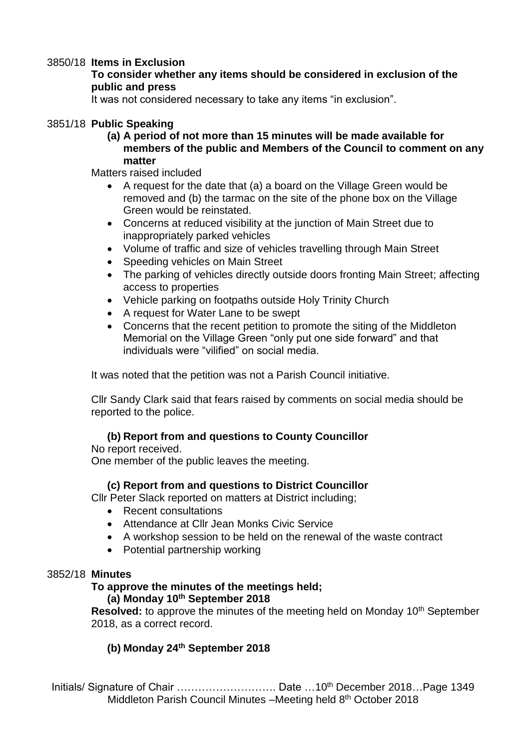# 3850/18 **Items in Exclusion**

# **To consider whether any items should be considered in exclusion of the public and press**

It was not considered necessary to take any items "in exclusion".

# 3851/18 **Public Speaking**

**(a) A period of not more than 15 minutes will be made available for members of the public and Members of the Council to comment on any matter** 

Matters raised included

- A request for the date that (a) a board on the Village Green would be removed and (b) the tarmac on the site of the phone box on the Village Green would be reinstated.
- Concerns at reduced visibility at the junction of Main Street due to inappropriately parked vehicles
- Volume of traffic and size of vehicles travelling through Main Street
- Speeding vehicles on Main Street
- The parking of vehicles directly outside doors fronting Main Street: affecting access to properties
- Vehicle parking on footpaths outside Holy Trinity Church
- A request for Water Lane to be swept
- Concerns that the recent petition to promote the siting of the Middleton Memorial on the Village Green "only put one side forward" and that individuals were "vilified" on social media.

It was noted that the petition was not a Parish Council initiative.

Cllr Sandy Clark said that fears raised by comments on social media should be reported to the police.

# **(b) Report from and questions to County Councillor**

No report received. One member of the public leaves the meeting.

# **(c) Report from and questions to District Councillor**

Cllr Peter Slack reported on matters at District including;

- Recent consultations
- Attendance at Cllr Jean Monks Civic Service
- A workshop session to be held on the renewal of the waste contract
- Potential partnership working

# 3852/18 **Minutes**

# **To approve the minutes of the meetings held;**

# **(a) Monday 10th September 2018**

**Resolved:** to approve the minutes of the meeting held on Monday 10<sup>th</sup> September 2018, as a correct record.

# **(b) Monday 24th September 2018**

Initials/ Signature of Chair …………………………… Date …10<sup>th</sup> December 2018…Page 1349 Middleton Parish Council Minutes -Meeting held 8<sup>th</sup> October 2018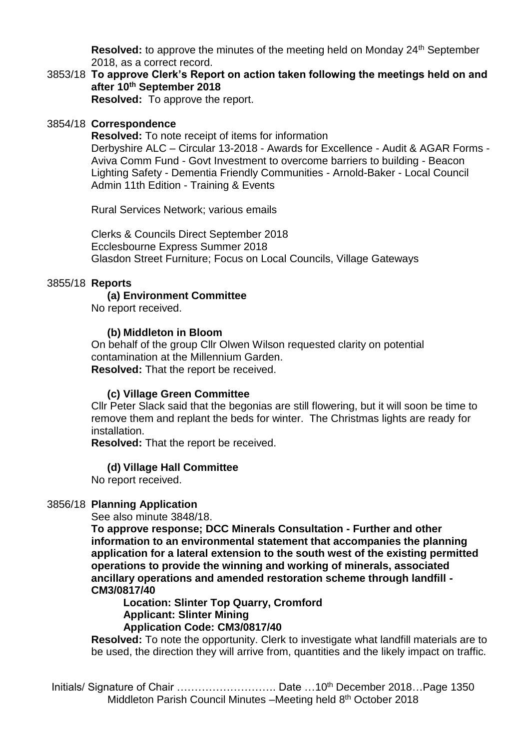**Resolved:** to approve the minutes of the meeting held on Monday 24<sup>th</sup> September 2018, as a correct record.

3853/18 **To approve Clerk's Report on action taken following the meetings held on and after 10th September 2018 Resolved:** To approve the report.

## 3854/18 **Correspondence**

**Resolved:** To note receipt of items for information Derbyshire ALC – Circular 13-2018 - Awards for Excellence - Audit & AGAR Forms - Aviva Comm Fund - Govt Investment to overcome barriers to building - Beacon Lighting Safety - Dementia Friendly Communities - Arnold-Baker - Local Council Admin 11th Edition - Training & Events

Rural Services Network; various emails

Clerks & Councils Direct September 2018 Ecclesbourne Express Summer 2018 Glasdon Street Furniture; Focus on Local Councils, Village Gateways

#### 3855/18 **Reports**

#### **(a) Environment Committee**

No report received.

#### **(b) Middleton in Bloom**

On behalf of the group Cllr Olwen Wilson requested clarity on potential contamination at the Millennium Garden. **Resolved:** That the report be received.

#### **(c) Village Green Committee**

Cllr Peter Slack said that the begonias are still flowering, but it will soon be time to remove them and replant the beds for winter. The Christmas lights are ready for installation.

**Resolved:** That the report be received.

#### **(d) Village Hall Committee**

No report received.

#### 3856/18 **Planning Application**

See also minute 3848/18.

**To approve response; DCC Minerals Consultation - Further and other information to an environmental statement that accompanies the planning application for a lateral extension to the south west of the existing permitted operations to provide the winning and working of minerals, associated ancillary operations and amended restoration scheme through landfill - CM3/0817/40** 

**Location: Slinter Top Quarry, Cromford Applicant: Slinter Mining Application Code: CM3/0817/40**

**Resolved:** To note the opportunity. Clerk to investigate what landfill materials are to be used, the direction they will arrive from, quantities and the likely impact on traffic.

Initials/ Signature of Chair ……………………………………… Date …10<sup>th</sup> December 2018…Page 1350 Middleton Parish Council Minutes -Meeting held 8<sup>th</sup> October 2018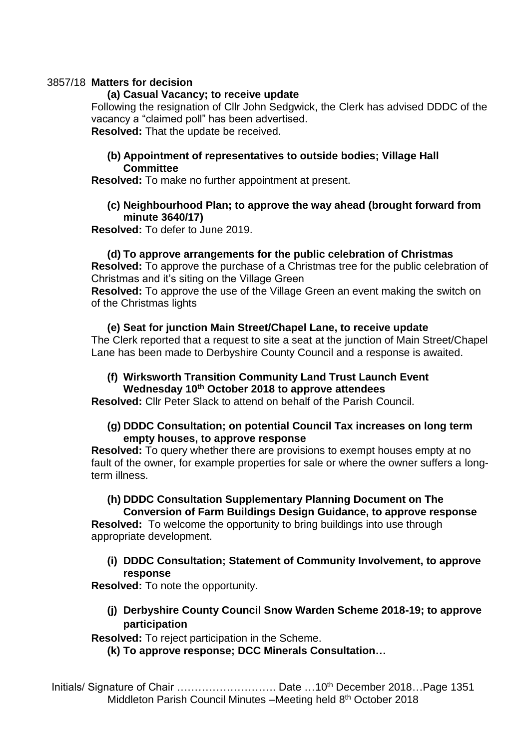# 3857/18 **Matters for decision**

## **(a) Casual Vacancy; to receive update**

Following the resignation of Cllr John Sedgwick, the Clerk has advised DDDC of the vacancy a "claimed poll" has been advertised.

**Resolved:** That the update be received.

# **(b) Appointment of representatives to outside bodies; Village Hall Committee**

**Resolved:** To make no further appointment at present.

## **(c) Neighbourhood Plan; to approve the way ahead (brought forward from minute 3640/17)**

**Resolved:** To defer to June 2019.

# **(d) To approve arrangements for the public celebration of Christmas**

**Resolved:** To approve the purchase of a Christmas tree for the public celebration of Christmas and it's siting on the Village Green

**Resolved:** To approve the use of the Village Green an event making the switch on of the Christmas lights

# **(e) Seat for junction Main Street/Chapel Lane, to receive update**

The Clerk reported that a request to site a seat at the junction of Main Street/Chapel Lane has been made to Derbyshire County Council and a response is awaited.

# **(f) Wirksworth Transition Community Land Trust Launch Event Wednesday 10th October 2018 to approve attendees**

**Resolved:** Cllr Peter Slack to attend on behalf of the Parish Council.

# **(g) DDDC Consultation; on potential Council Tax increases on long term empty houses, to approve response**

**Resolved:** To query whether there are provisions to exempt houses empty at no fault of the owner, for example properties for sale or where the owner suffers a longterm illness.

# **(h) DDDC Consultation Supplementary Planning Document on The**

**Conversion of Farm Buildings Design Guidance, to approve response Resolved:** To welcome the opportunity to bring buildings into use through appropriate development.

**(i) DDDC Consultation; Statement of Community Involvement, to approve response**

**Resolved:** To note the opportunity.

**(j) Derbyshire County Council Snow Warden Scheme 2018-19; to approve participation**

**Resolved:** To reject participation in the Scheme.

**(k) To approve response; DCC Minerals Consultation…**

Initials/ Signature of Chair ………………………… Date …10<sup>th</sup> December 2018…Page 1351 Middleton Parish Council Minutes -Meeting held 8<sup>th</sup> October 2018